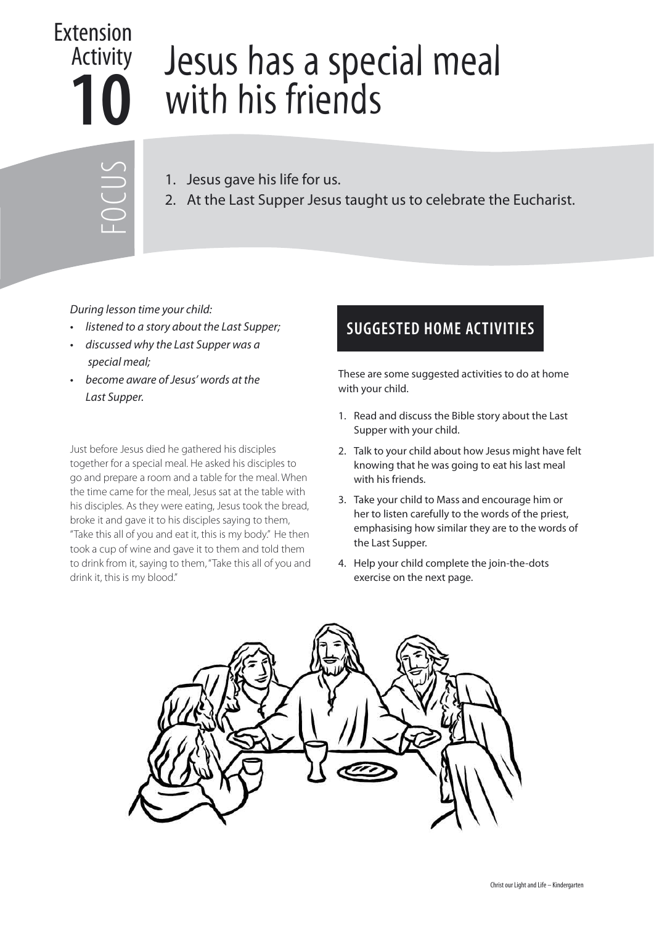## **10** Extension Activity

## Jesus has a special meal with his friends

FOCUS

- 1. Jesus gave his life for us.
- 2. At the Last Supper Jesus taught us to celebrate the Eucharist.

## During lesson time your child:

- listened to a story about the Last Supper;
- discussed why the Last Supper was a special meal;
- become aware of Jesus' words at the Last Supper.

Just before Jesus died he gathered his disciples together for a special meal. He asked his disciples to go and prepare a room and a table for the meal. When the time came for the meal, Jesus sat at the table with his disciples. As they were eating, Jesus took the bread, broke it and gave it to his disciples saying to them, "Take this all of you and eat it, this is my body." He then took a cup of wine and gave it to them and told them to drink from it, saying to them, "Take this all of you and drink it, this is my blood."

## **SUGGESTED HOME ACTIVITIES**

These are some suggested activities to do at home with your child.

- 1. Read and discuss the Bible story about the Last Supper with your child.
- 2. Talk to your child about how Jesus might have felt knowing that he was going to eat his last meal with his friends.
- 3. Take your child to Mass and encourage him or her to listen carefully to the words of the priest, emphasising how similar they are to the words of the Last Supper.
- 4. Help your child complete the join-the-dots exercise on the next page.